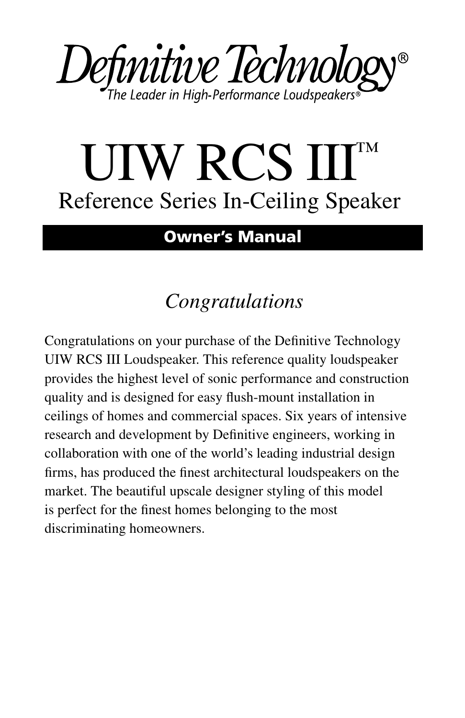

# UIW RCS III Reference Series In-Ceiling Speaker

#### **Owner's Manual**

# *Congratulations*

Congratulations on your purchase of the Definitive Technology UIW RCS III Loudspeaker. This reference quality loudspeaker provides the highest level of sonic performance and construction quality and is designed for easy flush-mount installation in ceilings of homes and commercial spaces. Six years of intensive research and development by Definitive engineers, working in collaboration with one of the world's leading industrial design firms, has produced the finest architectural loudspeakers on the market. The beautiful upscale designer styling of this model is perfect for the finest homes belonging to the most discriminating homeowners.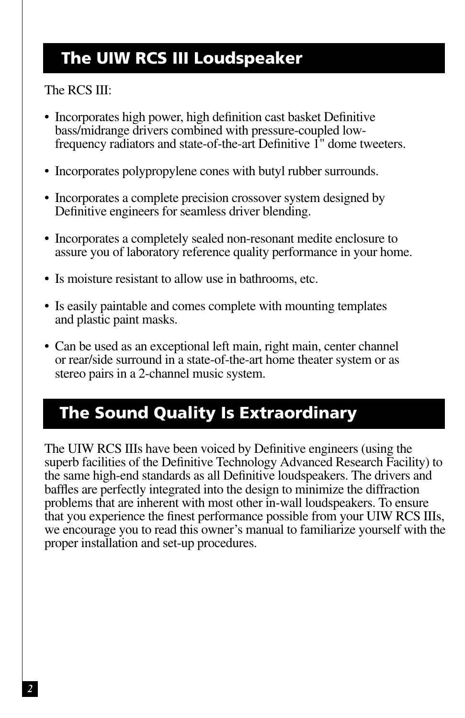#### **The UIW RCS III Loudspeaker**

#### The RCS III:

- Incorporates high power, high definition cast basket Definitive bass/midrange drivers combined with pressure-coupled lowfrequency radiators and state-of-the-art Definitive 1" dome tweeters.
- Incorporates polypropylene cones with butyl rubber surrounds.
- Incorporates a complete precision crossover system designed by Definitive engineers for seamless driver blending.
- Incorporates a completely sealed non-resonant medite enclosure to assure you of laboratory reference quality performance in your home.
- Is moisture resistant to allow use in bathrooms, etc.
- Is easily paintable and comes complete with mounting templates and plastic paint masks.
- Can be used as an exceptional left main, right main, center channel or rear/side surround in a state-of-the-art home theater system or as stereo pairs in a 2-channel music system.

## **The Sound Quality Is Extraordinary**

The UIW RCS IIIs have been voiced by Definitive engineers (using the superb facilities of the Definitive Technology Advanced Research Facility) to the same high-end standards as all Definitive loudspeakers. The drivers and baffles are perfectly integrated into the design to minimize the diffraction problems that are inherent with most other in-wall loudspeakers. To ensure that you experience the finest performance possible from your UIW RCS IIIs, we encourage you to read this owner's manual to familiarize yourself with the proper installation and set-up procedures.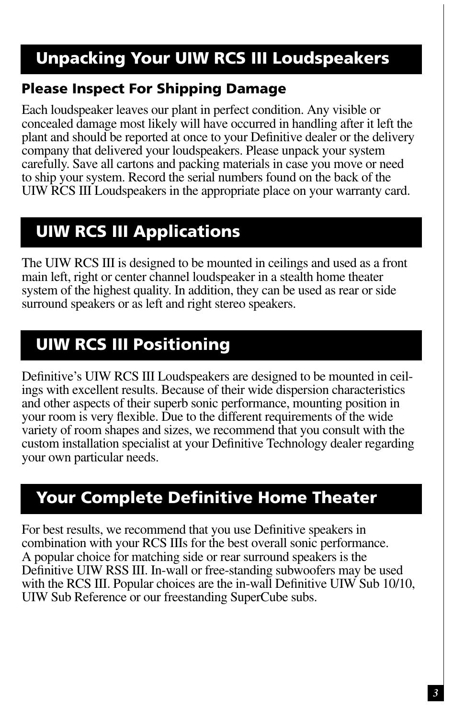# **Unpacking Your UIW RCS III Loudspeakers**

#### **Please Inspect For Shipping Damage**

Each loudspeaker leaves our plant in perfect condition. Any visible or concealed damage most likely will have occurred in handling after it left the plant and should be reported at once to your Definitive dealer or the delivery company that delivered your loudspeakers. Please unpack your system carefully. Save all cartons and packing materials in case you move or need to ship your system. Record the serial numbers found on the back of the UIW RCS III Loudspeakers in the appropriate place on your warranty card.

# **UIW RCS III Applications**

The UIW RCS III is designed to be mounted in ceilings and used as a front main left, right or center channel loudspeaker in a stealth home theater system of the highest quality. In addition, they can be used as rear or side surround speakers or as left and right stereo speakers.

## **UIW RCS III Positioning**

Definitive's UIW RCS III Loudspeakers are designed to be mounted in ceilings with excellent results. Because of their wide dispersion characteristics and other aspects of their superb sonic performance, mounting position in your room is very flexible. Due to the different requirements of the wide variety of room shapes and sizes, we recommend that you consult with the custom installation specialist at your Definitive Technology dealer regarding your own particular needs.

#### **Your Complete Definitive Home Theater**

For best results, we recommend that you use Definitive speakers in combination with your RCS IIIs for the best overall sonic performance. A popular choice for matching side or rear surround speakers is the Definitive UIW RSS III. In-wall or free-standing subwoofers may be used with the RCS III. Popular choices are the in-wall Definitive UIW Sub 10/10, UIW Sub Reference or our freestanding SuperCube subs.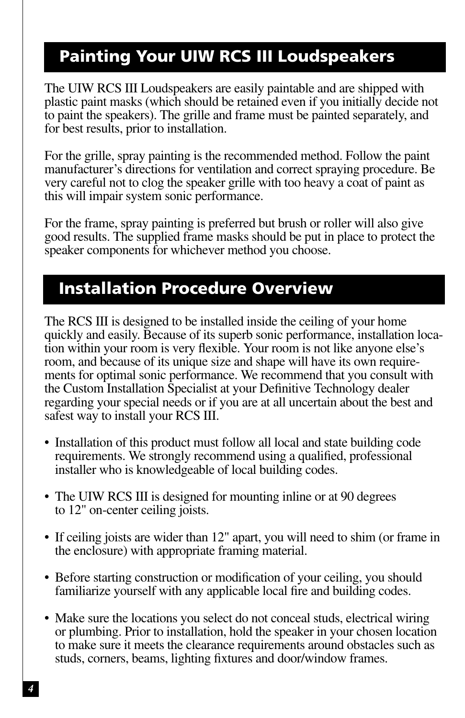## **Painting Your UIW RCS III Loudspeakers**

The UIW RCS III Loudspeakers are easily paintable and are shipped with plastic paint masks (which should be retained even if you initially decide not to paint the speakers). The grille and frame must be painted separately, and for best results, prior to installation.

For the grille, spray painting is the recommended method. Follow the paint manufacturer's directions for ventilation and correct spraying procedure. Be very careful not to clog the speaker grille with too heavy a coat of paint as this will impair system sonic performance.

For the frame, spray painting is preferred but brush or roller will also give good results. The supplied frame masks should be put in place to protect the speaker components for whichever method you choose.

#### **Installation Procedure Overview**

The RCS III is designed to be installed inside the ceiling of your home quickly and easily. Because of its superb sonic performance, installation location within your room is very flexible. Your room is not like anyone else's room, and because of its unique size and shape will have its own requirements for optimal sonic performance. We recommend that you consult with the Custom Installation Specialist at your Definitive Technology dealer regarding your special needs or if you are at all uncertain about the best and safest way to install your RCS III.

- Installation of this product must follow all local and state building code requirements. We strongly recommend using a qualified, professional installer who is knowledgeable of local building codes.
- The UIW RCS III is designed for mounting inline or at 90 degrees to 12" on-center ceiling joists.
- If ceiling joists are wider than 12" apart, you will need to shim (or frame in the enclosure) with appropriate framing material.
- Before starting construction or modification of your ceiling, you should familiarize yourself with any applicable local fire and building codes.
- Make sure the locations you select do not conceal studs, electrical wiring or plumbing. Prior to installation, hold the speaker in your chosen location to make sure it meets the clearance requirements around obstacles such as studs, corners, beams, lighting fixtures and door/window frames.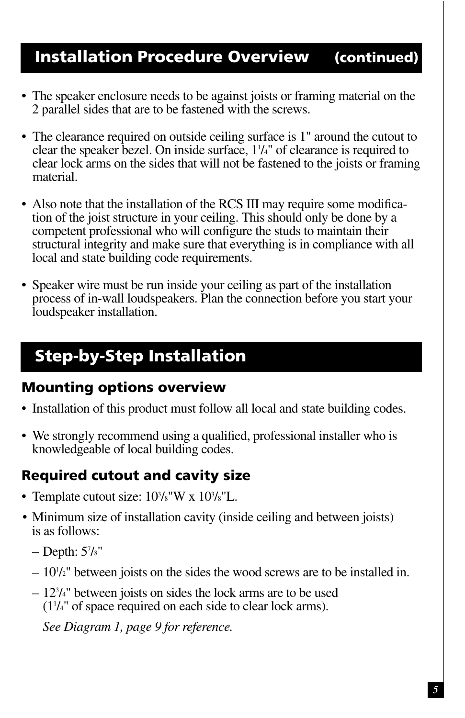#### **Installation Procedure Overview (continued)**

- The speaker enclosure needs to be against joists or framing material on the 2 parallel sides that are to be fastened with the screws.
- The clearance required on outside ceiling surface is 1" around the cutout to clear the speaker bezel. On inside surface,  $1\frac{1}{4}$  of clearance is required to clear lock arms on the sides that will not be fastened to the joists or framing material.
- Also note that the installation of the RCS III may require some modification of the joist structure in your ceiling. This should only be done by a competent professional who will configure the studs to maintain their structural integrity and make sure that everything is in compliance with all local and state building code requirements.
- Speaker wire must be run inside your ceiling as part of the installation process of in-wall loudspeakers. Plan the connection before you start your loudspeaker installation.

# **Step-by-Step Installation**

#### **Mounting options overview**

- Installation of this product must follow all local and state building codes.
- We strongly recommend using a qualified, professional installer who is knowledgeable of local building codes.

#### **Required cutout and cavity size**

- Template cutout size:  $10\frac{3}{s}$ "W x  $10\frac{3}{s}$ "L.
- Minimum size of installation cavity (inside ceiling and between joists) is as follows:
	- Depth: 57 /8"
	- $-10<sup>1</sup>$ /<sub>2</sub>" between joists on the sides the wood screws are to be installed in.
	- 123 /4" between joists on sides the lock arms are to be used (11 /4" of space required on each side to clear lock arms).

*See Diagram 1, page 9 for reference.*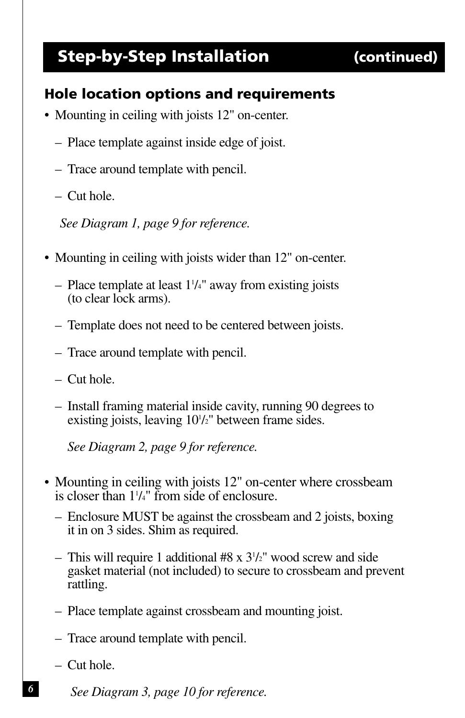#### **Step-by-Step Installation (continued)**

#### **Hole location options and requirements**

- Mounting in ceiling with joists 12" on-center.
	- Place template against inside edge of joist.
	- Trace around template with pencil.
	- Cut hole.

*See Diagram 1, page 9 for reference.*

- Mounting in ceiling with joists wider than 12" on-center.
	- $-$  Place template at least  $1\frac{1}{4}$ " away from existing joists (to clear lock arms).
	- Template does not need to be centered between joists.
	- Trace around template with pencil.
	- Cut hole.
	- Install framing material inside cavity, running 90 degrees to existing joists, leaving  $10\frac{1}{2}$ " between frame sides.

*See Diagram 2, page 9 for reference.*

- Mounting in ceiling with joists 12" on-center where crossbeam is closer than 11 /4" from side of enclosure.
	- Enclosure MUST be against the crossbeam and 2 joists, boxing it in on 3 sides. Shim as required.
	- This will require 1 additional #8 x 31 /2" wood screw and side gasket material (not included) to secure to crossbeam and prevent rattling.
	- Place template against crossbeam and mounting joist.
	- Trace around template with pencil.
	- Cut hole.

*6*

*See Diagram 3, page 10 for reference.*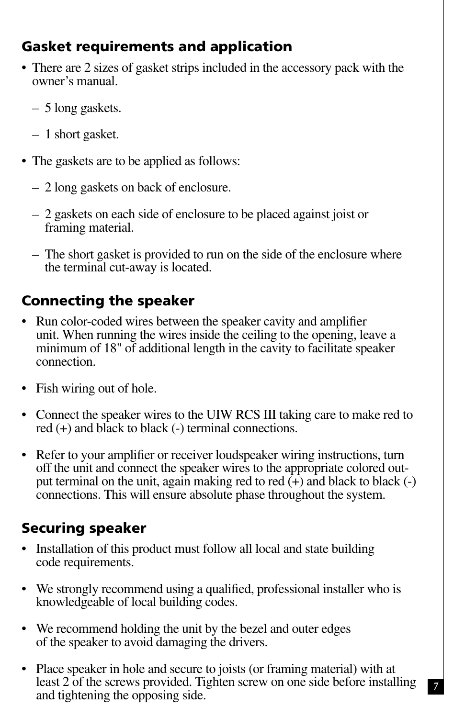#### **Gasket requirements and application**

- There are 2 sizes of gasket strips included in the accessory pack with the owner's manual.
	- 5 long gaskets.
	- 1 short gasket.
- The gaskets are to be applied as follows:
	- 2 long gaskets on back of enclosure.
	- 2 gaskets on each side of enclosure to be placed against joist or framing material.
	- The short gasket is provided to run on the side of the enclosure where the terminal cut-away is located.

#### **Connecting the speaker**

- Run color-coded wires between the speaker cavity and amplifier unit. When running the wires inside the ceiling to the opening, leave a minimum of 18" of additional length in the cavity to facilitate speaker connection.
- Fish wiring out of hole.
- Connect the speaker wires to the UIW RCS III taking care to make red to red (+) and black to black (-) terminal connections.
- Refer to your amplifier or receiver loudspeaker wiring instructions, turn off the unit and connect the speaker wires to the appropriate colored output terminal on the unit, again making red to red  $(\hat{+})$  and black to black  $(\hat{-})$ connections. This will ensure absolute phase throughout the system.

#### **Securing speaker**

- Installation of this product must follow all local and state building code requirements.
- We strongly recommend using a qualified, professional installer who is knowledgeable of local building codes.
- We recommend holding the unit by the bezel and outer edges of the speaker to avoid damaging the drivers.
- Place speaker in hole and secure to joists (or framing material) with at least 2 of the screws provided. Tighten screw on one side before installing and tightening the opposing side.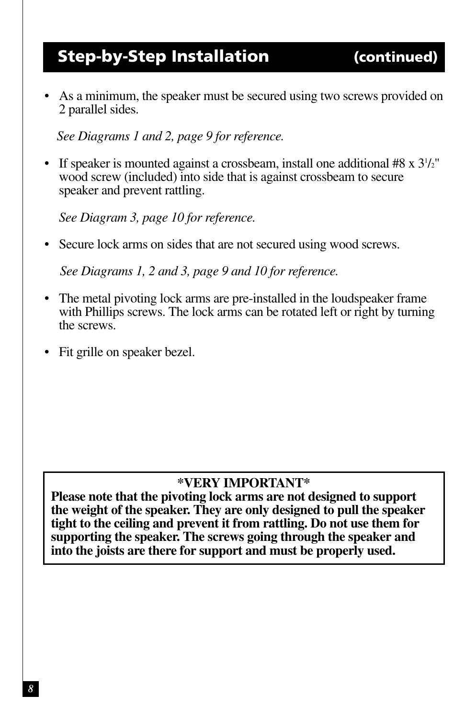#### **Step-by-Step Installation (continued)**

• As a minimum, the speaker must be secured using two screws provided on 2 parallel sides.

*See Diagrams 1 and 2, page 9 for reference.*

• If speaker is mounted against a crossbeam, install one additional  $#8 \times 3^{1/2}$ " /2" wood screw (included) into side that is against crossbeam to secure speaker and prevent rattling.

*See Diagram 3, page 10 for reference.*

• Secure lock arms on sides that are not secured using wood screws.

*See Diagrams 1, 2 and 3, page 9 and 10 for reference.*

- The metal pivoting lock arms are pre-installed in the loudspeaker frame with Phillips screws. The lock arms can be rotated left or right by turning the screws.
- Fit grille on speaker bezel.

#### **\*VERY IMPORTANT\***

**Please note that the pivoting lock arms are not designed to support the weight of the speaker. They are only designed to pull the speaker tight to the ceiling and prevent it from rattling. Do not use them for supporting the speaker. The screws going through the speaker and into the joists are there for support and must be properly used.**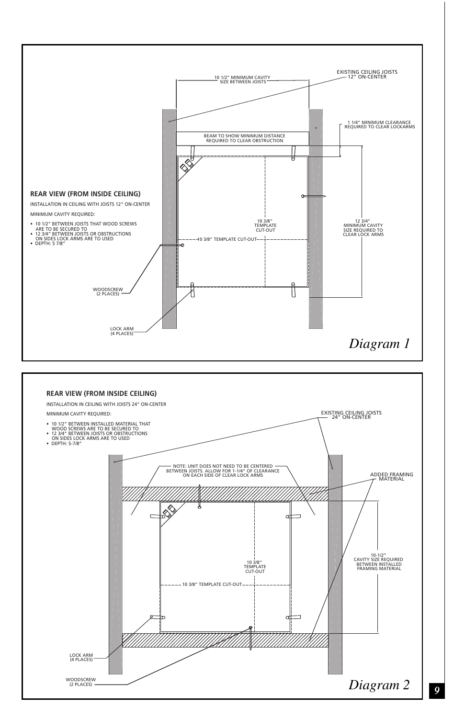

*9*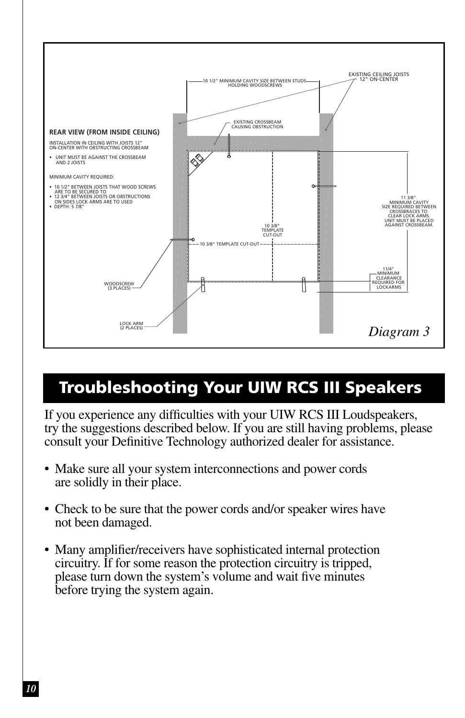

## **Troubleshooting Your UIW RCS III Speakers**

If you experience any difficulties with your UIW RCS III Loudspeakers, try the suggestions described below. If you are still having problems, please consult your Definitive Technology authorized dealer for assistance.

- Make sure all your system interconnections and power cords are solidly in their place.
- Check to be sure that the power cords and/or speaker wires have not been damaged.
- Many amplifier/receivers have sophisticated internal protection circuitry. If for some reason the protection circuitry is tripped, please turn down the system's volume and wait five minutes before trying the system again.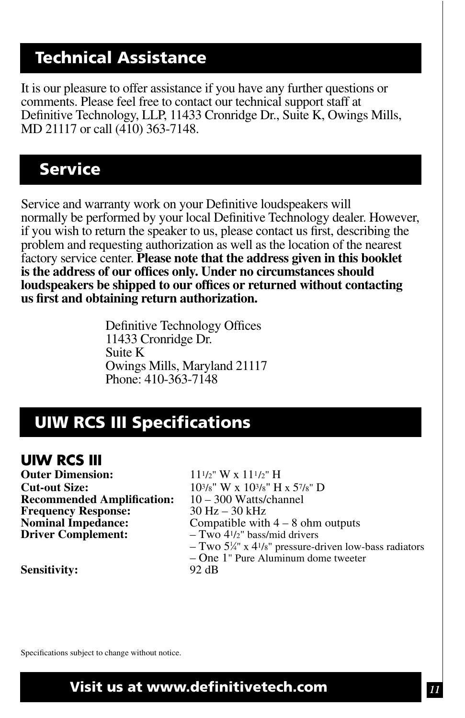#### **Technical Assistance**

It is our pleasure to offer assistance if you have any further questions or comments. Please feel free to contact our technical support staff at Definitive Technology, LLP, 11433 Cronridge Dr., Suite K, Owings Mills, MD 21117 or call (410) 363-7148.

#### **Service**

Service and warranty work on your Definitive loudspeakers will normally be performed by your local Definitive Technology dealer. However, if you wish to return the speaker to us, please contact us first, describing the problem and requesting authorization as well as the location of the nearest factory service center. **Please note that the address given in this booklet is the address of our offices only. Under no circumstances should loudspeakers be shipped to our offices or returned without contacting us first and obtaining return authorization.**

> Definitive Technology Offices 11433 Cronridge Dr. Suite K Owings Mills, Maryland 21117 Phone: 410-363-7148

#### **UIW RCS III Specifications**

#### **UIW RCS III**

**Outer Dimension:**  $11^{1/2}$ " W x  $11^{1/2}$ " H **Cut-out Size:**  $10^{3}/8$ " W x  $10^{3}/8$ " H x  $5^{7}/8$ " D<br>**Recommended Amplification:**  $10-300$  Watts/channel **Recommended Amplification:**  $10 - 300$  Watts/<br>**Frequency Response:**  $30$  Hz – 30 kHz **Frequency Response:**<br>Nominal Impedance:

**Nominal Impedance:** Compatible with  $4 - 8$  ohm outputs<br>Driver Complement:  $-$  Two  $4\frac{1}{2}$ " bass/mid drivers **Driver Complement:** – Two 41/2" bass/mid drivers – Two 5¼" x 41/8" pressure-driven low-bass radiators – One  $1$ " Pure Aluminum dome tweeter 92 dB

**Sensitivity:** 

Specifications subject to change without notice.

**Visit us at www.definitivetech.com**